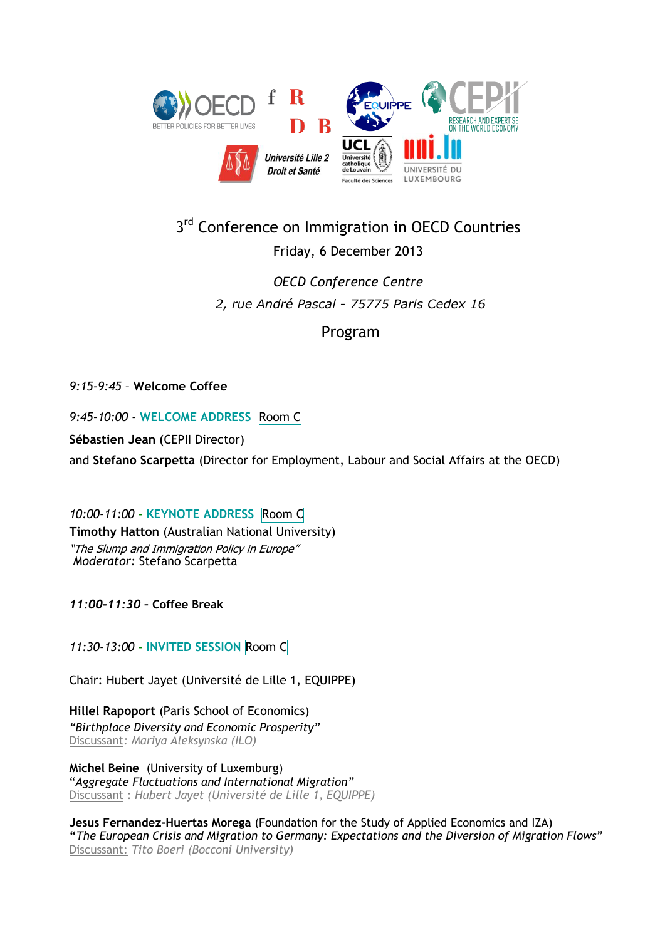

## 3<sup>rd</sup> Conference on Immigration in OECD Countries

## Friday, 6 December 2013

*OECD Conference Centre 2, rue André Pascal - 75775 Paris Cedex 16*

Program

*9:15-9:45 –* **Welcome Coffee**

*9:45-10:00* - **WELCOME ADDRESS** Room C

**Sébastien Jean (**CEPII Director)

and **Stefano Scarpetta** (Director for Employment, Labour and Social Affairs at the OECD)

*10:00-11:00* **- KEYNOTE ADDRESS** Room C **Timothy Hatton** (Australian National University) "The Slump and Immigration Policy in Europe" *Moderator:* Stefano Scarpetta

*11:00-11:30 –* **Coffee Break**

*11:30-13:00* **- INVITED SESSION** Room C

Chair: Hubert Jayet (Université de Lille 1, EQUIPPE)

**Hillel Rapoport** (Paris School of Economics) *"Birthplace Diversity and Economic Prosperity"* Discussant*: Mariya Aleksynska (ILO)*

**Michel Beine** (University of Luxemburg) "*Aggregate Fluctuations and International Migration"* Discussant : *Hubert Jayet (Université de Lille 1, EQUIPPE)*

**Jesus Fernandez-Huertas Morega** (Foundation for the Study of Applied Economics and IZA) **"***The European Crisis and Migration to Germany: Expectations and the Diversion of Migration Flows*" Discussant: *Tito Boeri (Bocconi University)*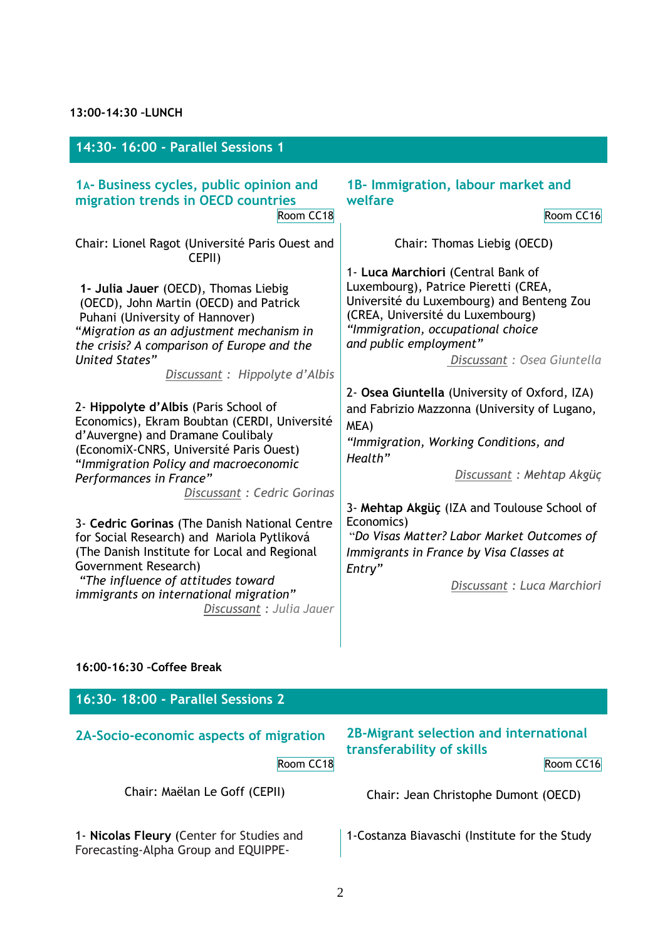| 14:30- 16:00 - Parallel Sessions 1                                                                                                                                                                                                                                                                                                                                                                                                                                                                                                                                                                                                                                                                                                                                                                                                                         |                                                                                                                                                                                                                                                                                                                                                                                                                                                                                                                                                                                                                                                                                                      |
|------------------------------------------------------------------------------------------------------------------------------------------------------------------------------------------------------------------------------------------------------------------------------------------------------------------------------------------------------------------------------------------------------------------------------------------------------------------------------------------------------------------------------------------------------------------------------------------------------------------------------------------------------------------------------------------------------------------------------------------------------------------------------------------------------------------------------------------------------------|------------------------------------------------------------------------------------------------------------------------------------------------------------------------------------------------------------------------------------------------------------------------------------------------------------------------------------------------------------------------------------------------------------------------------------------------------------------------------------------------------------------------------------------------------------------------------------------------------------------------------------------------------------------------------------------------------|
| 1A- Business cycles, public opinion and<br>migration trends in OECD countries<br>Room CC18<br>Chair: Lionel Ragot (Université Paris Ouest and<br>CEPII)<br>1- Julia Jauer (OECD), Thomas Liebig<br>(OECD), John Martin (OECD) and Patrick<br>Puhani (University of Hannover)<br>"Migration as an adjustment mechanism in<br>the crisis? A comparison of Europe and the<br><b>United States"</b><br>Discussant: Hippolyte d'Albis<br>2- Hippolyte d'Albis (Paris School of<br>Economics), Ekram Boubtan (CERDI, Université<br>d'Auvergne) and Dramane Coulibaly<br>(EconomiX-CNRS, Université Paris Ouest)<br>"Immigration Policy and macroeconomic<br>Performances in France"<br>Discussant: Cedric Gorinas<br>3- Cedric Gorinas (The Danish National Centre<br>for Social Research) and Mariola Pytliková<br>(The Danish Institute for Local and Regional | 1B- Immigration, labour market and<br>welfare<br>Room CC16<br>Chair: Thomas Liebig (OECD)<br>1- Luca Marchiori (Central Bank of<br>Luxembourg), Patrice Pieretti (CREA,<br>Université du Luxembourg) and Benteng Zou<br>(CREA, Université du Luxembourg)<br>"Immigration, occupational choice<br>and public employment"<br>Discussant: Osea Giuntella<br>2- Osea Giuntella (University of Oxford, IZA)<br>and Fabrizio Mazzonna (University of Lugano,<br>MEA)<br>"Immigration, Working Conditions, and<br>Health"<br>Discussant: Mehtap Akgüç<br>3- Mehtap Akgüç (IZA and Toulouse School of<br>Economics)<br>"Do Visas Matter? Labor Market Outcomes of<br>Immigrants in France by Visa Classes at |
| Government Research)                                                                                                                                                                                                                                                                                                                                                                                                                                                                                                                                                                                                                                                                                                                                                                                                                                       | Entry"                                                                                                                                                                                                                                                                                                                                                                                                                                                                                                                                                                                                                                                                                               |
| "The influence of attitudes toward<br>immigrants on international migration"<br>Discussant : Julia Jauer                                                                                                                                                                                                                                                                                                                                                                                                                                                                                                                                                                                                                                                                                                                                                   | Discussant : Luca Marchiori                                                                                                                                                                                                                                                                                                                                                                                                                                                                                                                                                                                                                                                                          |
| 16:00-16:30 - Coffee Break                                                                                                                                                                                                                                                                                                                                                                                                                                                                                                                                                                                                                                                                                                                                                                                                                                 |                                                                                                                                                                                                                                                                                                                                                                                                                                                                                                                                                                                                                                                                                                      |

## **16:30- 18:00 - Parallel Sessions 2 2A-Socio-economic aspects of migration** Room CC18 **2B-Migrant selection and international transferability of skills**  Room CC16 Chair: Maëlan Le Goff (CEPII) Chair: Jean Christophe Dumont (OECD) 1- **Nicolas Fleury** (Center for Studies and Forecasting-Alpha Group and EQUIPPE-1-Costanza Biavaschi (Institute for the Study